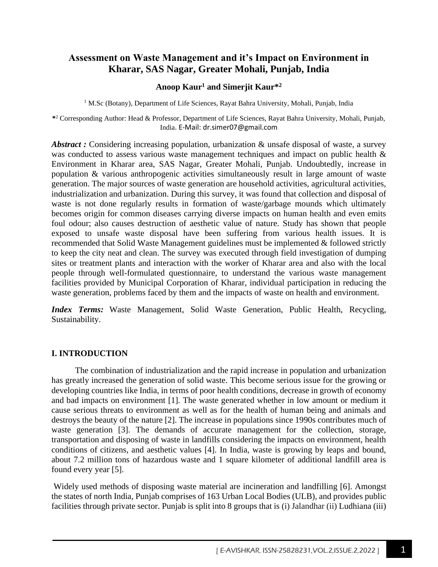# **Assessment on Waste Management and it's Impact on Environment in Kharar, SAS Nagar, Greater Mohali, Punjab, India**

#### **Anoop Kaur<sup>1</sup> and Simerjit Kaur\*<sup>2</sup>**

<sup>1</sup> M.Sc (Botany), Department of Life Sciences, Rayat Bahra University, Mohali, Punjab, India

**\*** <sup>2</sup> Corresponding Author: Head & Professor, Department of Life Sciences, Rayat Bahra University, Mohali, Punjab, India. E-Mail: dr.simer07@gmail.com

Abstract : Considering increasing population, urbanization & unsafe disposal of waste, a survey was conducted to assess various waste management techniques and impact on public health  $\&$ Environment in Kharar area, SAS Nagar, Greater Mohali, Punjab. Undoubtedly, increase in population & various anthropogenic activities simultaneously result in large amount of waste generation. The major sources of waste generation are household activities, agricultural activities, industrialization and urbanization. During this survey, it was found that collection and disposal of waste is not done regularly results in formation of waste/garbage mounds which ultimately becomes origin for common diseases carrying diverse impacts on human health and even emits foul odour; also causes destruction of aesthetic value of nature. Study has shown that people exposed to unsafe waste disposal have been suffering from various health issues. It is recommended that Solid Waste Management guidelines must be implemented & followed strictly to keep the city neat and clean. The survey was executed through field investigation of dumping sites or treatment plants and interaction with the worker of Kharar area and also with the local people through well-formulated questionnaire, to understand the various waste management facilities provided by Municipal Corporation of Kharar, individual participation in reducing the waste generation, problems faced by them and the impacts of waste on health and environment.

*Index Terms:* Waste Management, Solid Waste Generation, Public Health, Recycling, Sustainability.

## **I. INTRODUCTION**

The combination of industrialization and the rapid increase in population and urbanization has greatly increased the generation of solid waste. This become serious issue for the growing or developing countries like India, in terms of poor health conditions, decrease in growth of economy and bad impacts on environment [1]. The waste generated whether in low amount or medium it cause serious threats to environment as well as for the health of human being and animals and destroys the beauty of the nature [2]. The increase in populations since 1990s contributes much of waste generation [3]. The demands of accurate management for the collection, storage, transportation and disposing of waste in landfills considering the impacts on environment, health conditions of citizens, and aesthetic values [4]. In India, waste is growing by leaps and bound, about 7.2 million tons of hazardous waste and 1 square kilometer of additional landfill area is found every year [5].

Widely used methods of disposing waste material are incineration and landfilling [6]. Amongst the states of north India, Punjab comprises of 163 Urban Local Bodies (ULB), and provides public facilities through private sector. Punjab is split into 8 groups that is (i) Jalandhar (ii) Ludhiana (iii)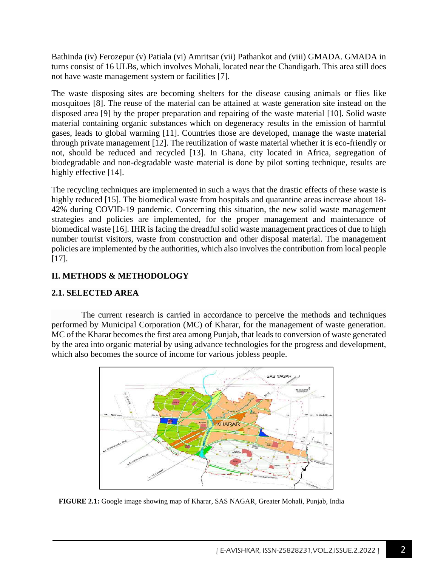Bathinda (iv) Ferozepur (v) Patiala (vi) Amritsar (vii) Pathankot and (viii) GMADA. GMADA in turns consist of 16 ULBs, which involves Mohali, located near the Chandigarh. This area still does not have waste management system or facilities [7].

The waste disposing sites are becoming shelters for the disease causing animals or flies like mosquitoes [8]. The reuse of the material can be attained at waste generation site instead on the disposed area [9] by the proper preparation and repairing of the waste material [10]. Solid waste material containing organic substances which on degeneracy results in the emission of harmful gases, leads to global warming [11]. Countries those are developed, manage the waste material through private management [12]. The reutilization of waste material whether it is eco-friendly or not, should be reduced and recycled [13]. In Ghana, city located in Africa, segregation of biodegradable and non-degradable waste material is done by pilot sorting technique, results are highly effective [14].

The recycling techniques are implemented in such a ways that the drastic effects of these waste is highly reduced [15]. The biomedical waste from hospitals and quarantine areas increase about 18-42% during COVID-19 pandemic. Concerning this situation, the new solid waste management strategies and policies are implemented, for the proper management and maintenance of biomedical waste [16]. IHR is facing the dreadful solid waste management practices of due to high number tourist visitors, waste from construction and other disposal material. The management policies are implemented by the authorities, which also involves the contribution from local people [17].

## **II. METHODS & METHODOLOGY**

## **2.1. SELECTED AREA**

The current research is carried in accordance to perceive the methods and techniques performed by Municipal Corporation (MC) of Kharar, for the management of waste generation. MC of the Kharar becomes the first area among Punjab, that leads to conversion of waste generated by the area into organic material by using advance technologies for the progress and development, which also becomes the source of income for various jobless people.



 **FIGURE 2.1:** Google image showing map of Kharar, SAS NAGAR, Greater Mohali, Punjab, India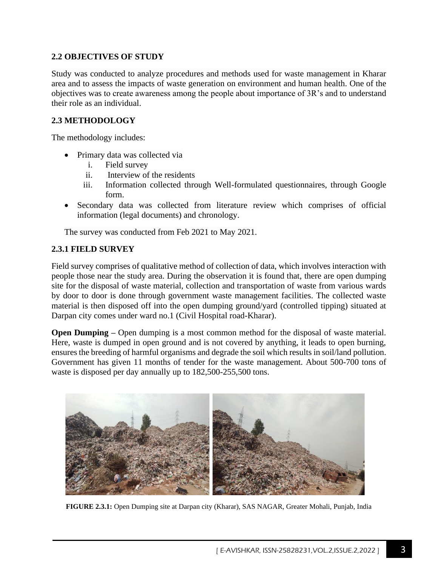## **2.2 OBJECTIVES OF STUDY**

Study was conducted to analyze procedures and methods used for waste management in Kharar area and to assess the impacts of waste generation on environment and human health. One of the objectives was to create awareness among the people about importance of 3R's and to understand their role as an individual.

#### **2.3 METHODOLOGY**

The methodology includes:

- Primary data was collected via
	- i. Field survey
	- ii. Interview of the residents
	- iii. Information collected through Well-formulated questionnaires, through Google form.
- Secondary data was collected from literature review which comprises of official information (legal documents) and chronology.

The survey was conducted from Feb 2021 to May 2021.

#### **2.3.1 FIELD SURVEY**

Field survey comprises of qualitative method of collection of data, which involves interaction with people those near the study area. During the observation it is found that, there are open dumping site for the disposal of waste material, collection and transportation of waste from various wards by door to door is done through government waste management facilities. The collected waste material is then disposed off into the open dumping ground/yard (controlled tipping) situated at Darpan city comes under ward no.1 (Civil Hospital road-Kharar).

**Open Dumping –** Open dumping is a most common method for the disposal of waste material. Here, waste is dumped in open ground and is not covered by anything, it leads to open burning, ensures the breeding of harmful organisms and degrade the soil which results in soil/land pollution. Government has given 11 months of tender for the waste management. About 500-700 tons of waste is disposed per day annually up to 182,500-255,500 tons.



**FIGURE 2.3.1:** Open Dumping site at Darpan city (Kharar), SAS NAGAR, Greater Mohali, Punjab, India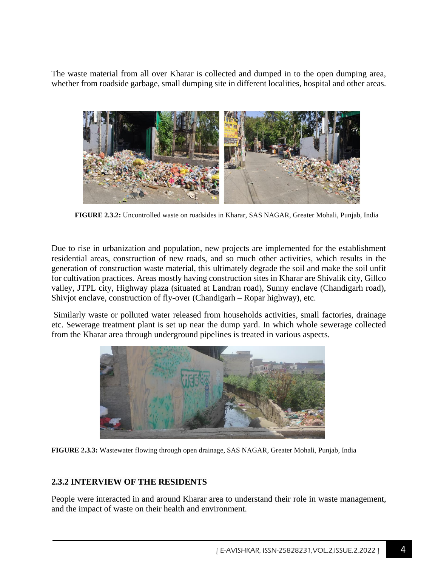The waste material from all over Kharar is collected and dumped in to the open dumping area, whether from roadside garbage, small dumping site in different localities, hospital and other areas.



 **FIGURE 2.3.2:** Uncontrolled waste on roadsides in Kharar, SAS NAGAR, Greater Mohali, Punjab, India

Due to rise in urbanization and population, new projects are implemented for the establishment residential areas, construction of new roads, and so much other activities, which results in the generation of construction waste material, this ultimately degrade the soil and make the soil unfit for cultivation practices. Areas mostly having construction sites in Kharar are Shivalik city, Gillco valley, JTPL city, Highway plaza (situated at Landran road), Sunny enclave (Chandigarh road), Shivjot enclave, construction of fly-over (Chandigarh – Ropar highway), etc.

Similarly waste or polluted water released from households activities, small factories, drainage etc. Sewerage treatment plant is set up near the dump yard. In which whole sewerage collected from the Kharar area through underground pipelines is treated in various aspects.



**FIGURE 2.3.3:** Wastewater flowing through open drainage, SAS NAGAR, Greater Mohali, Punjab, India

## **2.3.2 INTERVIEW OF THE RESIDENTS**

People were interacted in and around Kharar area to understand their role in waste management, and the impact of waste on their health and environment.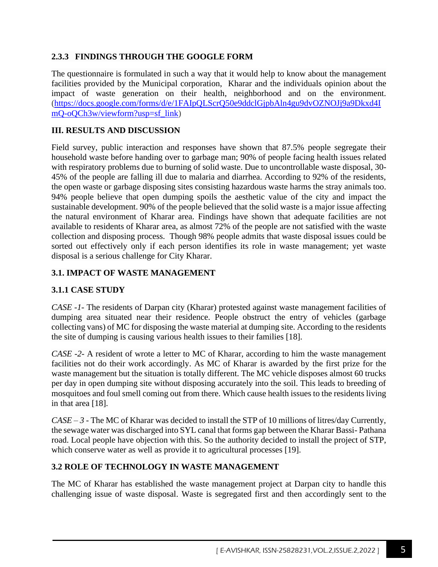## **2.3.3 FINDINGS THROUGH THE GOOGLE FORM**

The questionnaire is formulated in such a way that it would help to know about the management facilities provided by the Municipal corporation, Kharar and the individuals opinion about the impact of waste generation on their health, neighborhood and on the environment. [\(https://docs.google.com/forms/d/e/1FAIpQLScrQ50e9ddclGjpbAln4gu9dvOZNOJj9a9Dkxd4I](https://docs.google.com/forms/d/e/1FAIpQLScrQ50e9ddclGjpbAln4gu9dvOZNOJj9a9Dkxd4ImQ-oQCh3w/viewform?usp=sf_link) [mQ-oQCh3w/viewform?usp=sf\\_link\)](https://docs.google.com/forms/d/e/1FAIpQLScrQ50e9ddclGjpbAln4gu9dvOZNOJj9a9Dkxd4ImQ-oQCh3w/viewform?usp=sf_link)

## **III. RESULTS AND DISCUSSION**

Field survey, public interaction and responses have shown that 87.5% people segregate their household waste before handing over to garbage man; 90% of people facing health issues related with respiratory problems due to burning of solid waste. Due to uncontrollable waste disposal, 30- 45% of the people are falling ill due to malaria and diarrhea. According to 92% of the residents, the open waste or garbage disposing sites consisting hazardous waste harms the stray animals too. 94% people believe that open dumping spoils the aesthetic value of the city and impact the sustainable development. 90% of the people believed that the solid waste is a major issue affecting the natural environment of Kharar area. Findings have shown that adequate facilities are not available to residents of Kharar area, as almost 72% of the people are not satisfied with the waste collection and disposing process. Though 98% people admits that waste disposal issues could be sorted out effectively only if each person identifies its role in waste management; yet waste disposal is a serious challenge for City Kharar.

## **3.1. IMPACT OF WASTE MANAGEMENT**

## **3.1.1 CASE STUDY**

*CASE -1-* The residents of Darpan city (Kharar) protested against waste management facilities of dumping area situated near their residence. People obstruct the entry of vehicles (garbage collecting vans) of MC for disposing the waste material at dumping site. According to the residents the site of dumping is causing various health issues to their families [18].

*CASE -2-* A resident of wrote a letter to MC of Kharar, according to him the waste management facilities not do their work accordingly. As MC of Kharar is awarded by the first prize for the waste management but the situation is totally different. The MC vehicle disposes almost 60 trucks per day in open dumping site without disposing accurately into the soil. This leads to breeding of mosquitoes and foul smell coming out from there. Which cause health issues to the residents living in that area [18].

*CASE – 3* - The MC of Kharar was decided to install the STP of 10 millions of litres/day Currently, the sewage water was discharged into SYL canal that forms gap between the Kharar Bassi- Pathana road. Local people have objection with this. So the authority decided to install the project of STP, which conserve water as well as provide it to agricultural processes [19].

## **3.2 ROLE OF TECHNOLOGY IN WASTE MANAGEMENT**

The MC of Kharar has established the waste management project at Darpan city to handle this challenging issue of waste disposal. Waste is segregated first and then accordingly sent to the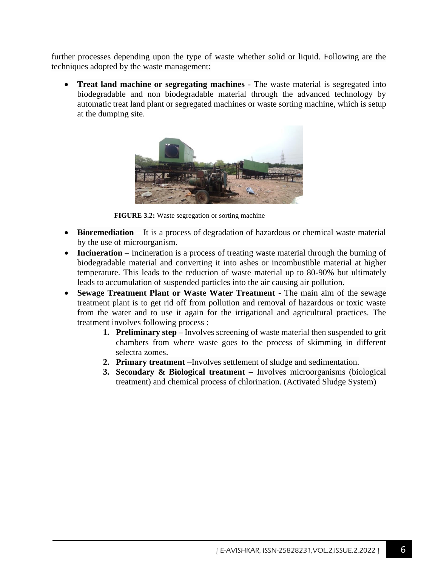further processes depending upon the type of waste whether solid or liquid. Following are the techniques adopted by the waste management:

• **Treat land machine or segregating machines** - The waste material is segregated into biodegradable and non biodegradable material through the advanced technology by automatic treat land plant or segregated machines or waste sorting machine, which is setup at the dumping site.



**FIGURE 3.2:** Waste segregation or sorting machine

- **Bioremediation** It is a process of degradation of hazardous or chemical waste material by the use of microorganism.
- **Incineration** Incineration is a process of treating waste material through the burning of biodegradable material and converting it into ashes or incombustible material at higher temperature. This leads to the reduction of waste material up to 80-90% but ultimately leads to accumulation of suspended particles into the air causing air pollution.
- **Sewage Treatment Plant or Waste Water Treatment -** The main aim of the sewage treatment plant is to get rid off from pollution and removal of hazardous or toxic waste from the water and to use it again for the irrigational and agricultural practices. The treatment involves following process :
	- **1. Preliminary step –** Involves screening of waste material then suspended to grit chambers from where waste goes to the process of skimming in different selectra zomes.
	- **2. Primary treatment –**Involves settlement of sludge and sedimentation.
	- **3. Secondary & Biological treatment –** Involves microorganisms (biological treatment) and chemical process of chlorination. (Activated Sludge System)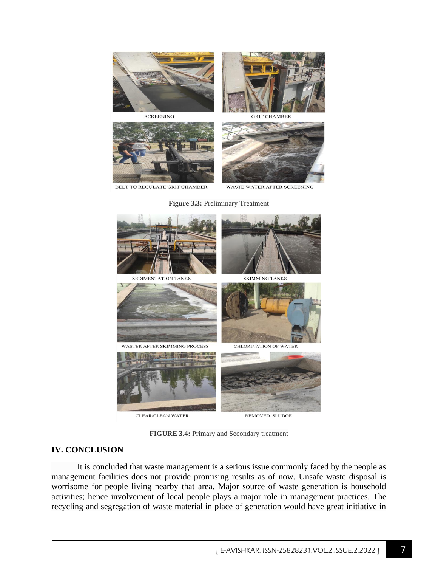

**SCREENING** 



BELT TO REGULATE GRIT CHAMBER



**GRIT CHAMBER** 



WASTE WATER AFTER SCREENING

#### **Figure 3.3:** Preliminary Treatment



**FIGURE 3.4:** Primary and Secondary treatment

#### **IV. CONCLUSION**

 It is concluded that waste management is a serious issue commonly faced by the people as management facilities does not provide promising results as of now. Unsafe waste disposal is worrisome for people living nearby that area. Major source of waste generation is household activities; hence involvement of local people plays a major role in management practices. The recycling and segregation of waste material in place of generation would have great initiative in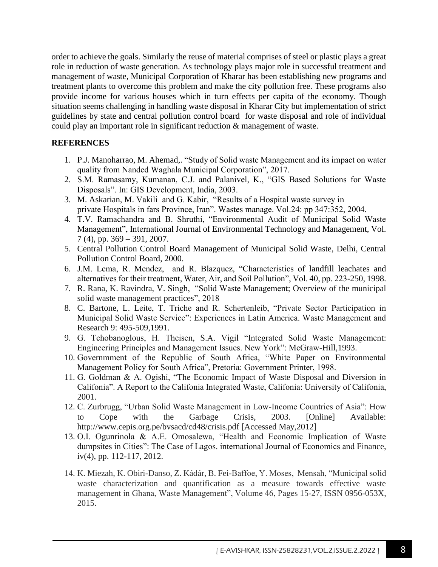order to achieve the goals. Similarly the reuse of material comprises of steel or plastic plays a great role in reduction of waste generation. As technology plays major role in successful treatment and management of waste, Municipal Corporation of Kharar has been establishing new programs and treatment plants to overcome this problem and make the city pollution free. These programs also provide income for various houses which in turn effects per capita of the economy. Though situation seems challenging in handling waste disposal in Kharar City but implementation of strict guidelines by state and central pollution control board for waste disposal and role of individual could play an important role in significant reduction & management of waste.

#### **REFERENCES**

- 1. P.J. Manoharrao, M. Ahemad,. "Study of Solid waste Management and its impact on water quality from Nanded Waghala Municipal Corporation", 2017.
- 2. S.M. Ramasamy, Kumanan, C.J. and Palanivel, K., "GIS Based Solutions for Waste Disposals". In: GIS Development, India, 2003.
- 3. M. Askarian, M. Vakili and G. Kabir, "Results of a Hospital waste survey in private Hospitals in fars Province, Iran". Wastes manage. Vol.24: pp 347:352, 2004.
- 4. T.V. Ramachandra and B. Shruthi, "Environmental Audit of Municipal Solid Waste Management", International Journal of Environmental Technology and Management, Vol. 7 (4), pp. 369 – 391, 2007.
- 5. Central Pollution Control Board Management of Municipal Solid Waste, Delhi, Central Pollution Control Board, 2000.
- 6. J.M. Lema, R. Mendez, and R. Blazquez, "Characteristics of landfill leachates and alternatives for their treatment, Water, Air, and Soil Pollution", Vol. 40, pp. 223-250, 1998.
- 7. R. Rana, K. Ravindra, V. Singh, "Solid Waste Management; Overview of the municipal solid waste management practices", 2018
- 8. C. Bartone, L. Leite, T. Triche and R. Schertenleib, "Private Sector Participation in Municipal Solid Waste Service": Experiences in Latin America. Waste Management and Research 9: 495-509,1991.
- 9. G. Tchobanoglous, H. Theisen, S.A. Vigil "Integrated Solid Waste Management: Engineering Principles and Management Issues. New York": McGraw-Hill,1993.
- 10. Governmment of the Republic of South Africa, "White Paper on Environmental Management Policy for South Africa", Pretoria: Government Printer, 1998.
- 11. G. Goldman & A. Ogishi, "The Economic Impact of Waste Disposal and Diversion in Califonia". A Report to the Califonia Integrated Waste, Califonia: University of Califonia, 2001.
- 12. C. Zurbrugg, "Urban Solid Waste Management in Low-Income Countries of Asia": How to Cope with the Garbage Crisis, 2003. [Online] Available: http://www.cepis.org.pe/bvsacd/cd48/crisis.pdf [Accessed May,2012]
- 13. O.I. Ogunrinola & A.E. Omosalewa, "Health and Economic Implication of Waste dumpsites in Cities": The Case of Lagos. international Journal of Economics and Finance, iv(4), pp. 112-117, 2012.
- 14. K. Miezah, K. Obiri-Danso, Z. Kádár, B. Fei-Baffoe, Y. Moses, Mensah, "Municipal solid waste characterization and quantification as a measure towards effective waste management in Ghana, Waste Management", Volume 46, Pages 15-27, ISSN 0956-053X, 2015.